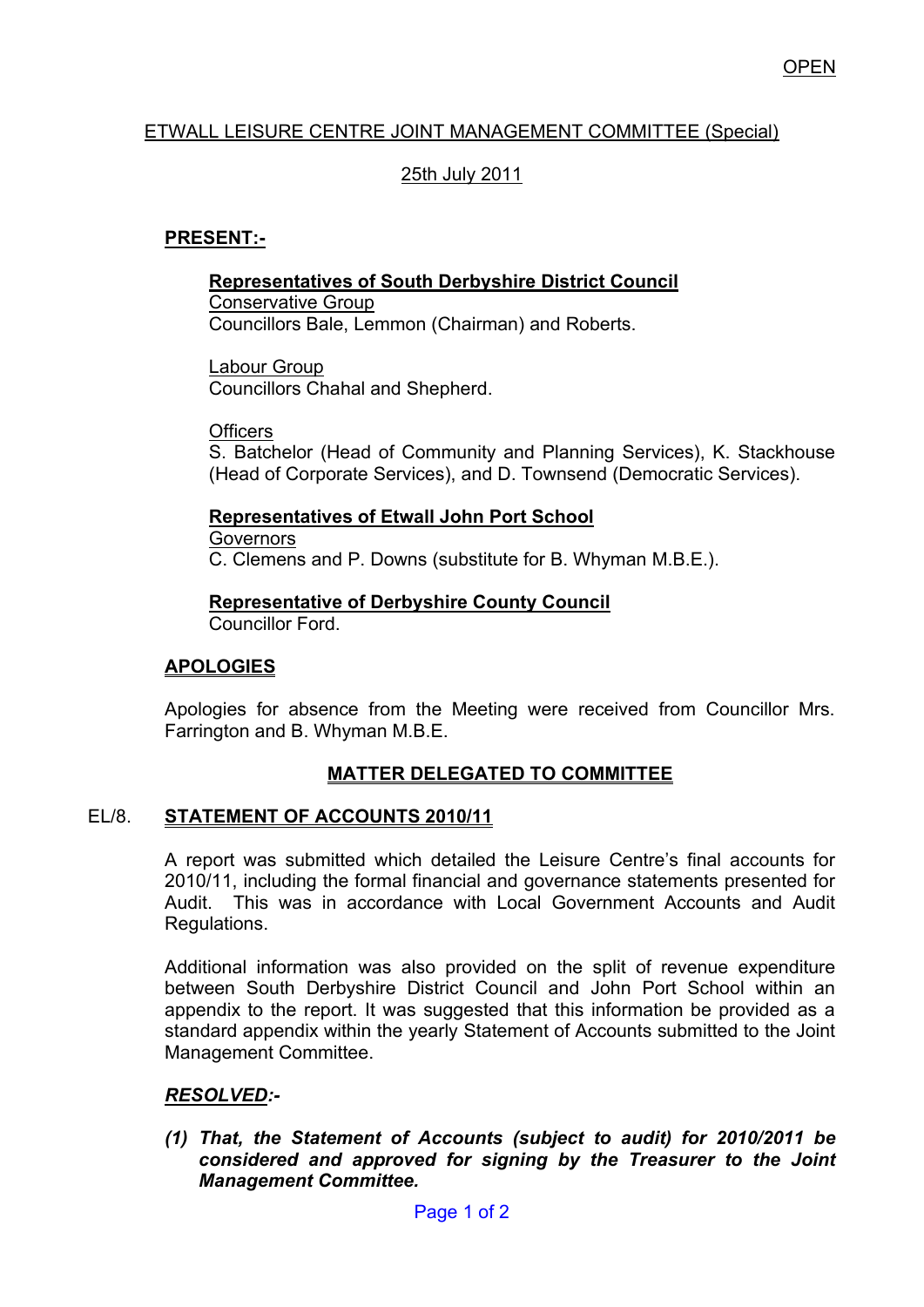## ETWALL LEISURE CENTRE JOINT MANAGEMENT COMMITTEE (Special)

# 25th July 2011

## **PRESENT:-**

#### **Representatives of South Derbyshire District Council**

Conservative Group Councillors Bale, Lemmon (Chairman) and Roberts.

Labour Group Councillors Chahal and Shepherd.

**Officers** 

S. Batchelor (Head of Community and Planning Services), K. Stackhouse (Head of Corporate Services), and D. Townsend (Democratic Services).

### **Representatives of Etwall John Port School**

**Governors** C. Clemens and P. Downs (substitute for B. Whyman M.B.E.).

#### **Representative of Derbyshire County Council**

Councillor Ford.

#### **APOLOGIES**

Apologies for absence from the Meeting were received from Councillor Mrs. Farrington and B. Whyman M.B.E.

# **MATTER DELEGATED TO COMMITTEE**

#### EL/8. **STATEMENT OF ACCOUNTS 2010/11**

A report was submitted which detailed the Leisure Centre's final accounts for 2010/11, including the formal financial and governance statements presented for Audit. This was in accordance with Local Government Accounts and Audit Regulations.

Additional information was also provided on the split of revenue expenditure between South Derbyshire District Council and John Port School within an appendix to the report. It was suggested that this information be provided as a standard appendix within the yearly Statement of Accounts submitted to the Joint Management Committee.

#### *RESOLVED:-*

*(1) That, the Statement of Accounts (subject to audit) for 2010/2011 be considered and approved for signing by the Treasurer to the Joint Management Committee.*